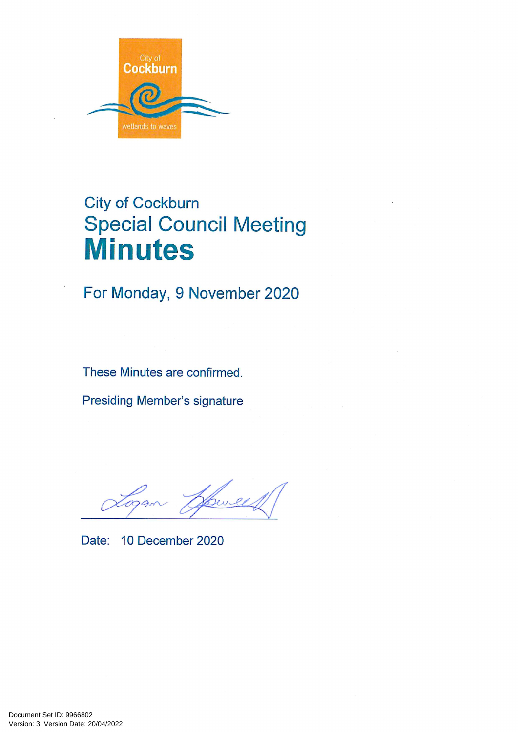

# **City of Cockburn Special Council Meeting Minutes**

For Monday, 9 November 2020

These Minutes are confirmed.

**Presiding Member's signature** 

Cevel

Date: 10 December 2020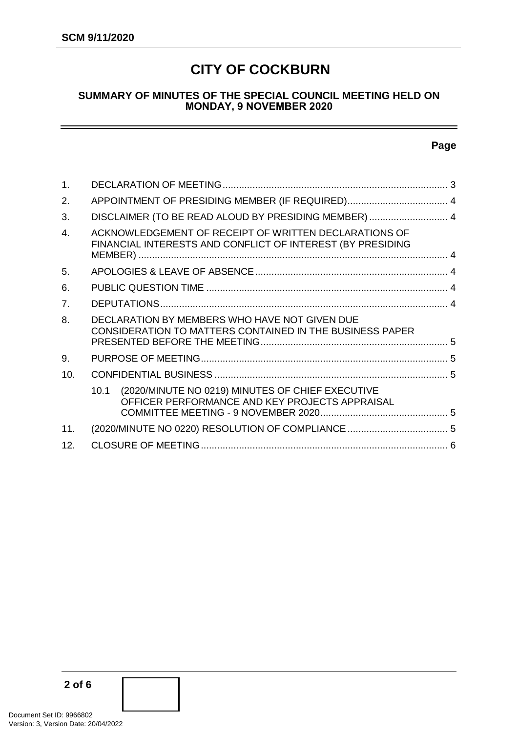# **CITY OF COCKBURN**

#### **SUMMARY OF MINUTES OF THE SPECIAL COUNCIL MEETING HELD ON MONDAY, 9 NOVEMBER 2020**

#### **Page**

| $\mathbf 1$ .   |                                                                                                                     |  |  |  |  |
|-----------------|---------------------------------------------------------------------------------------------------------------------|--|--|--|--|
| 2.              |                                                                                                                     |  |  |  |  |
| 3.              | DISCLAIMER (TO BE READ ALOUD BY PRESIDING MEMBER)  4                                                                |  |  |  |  |
| $\overline{4}$  | ACKNOWLEDGEMENT OF RECEIPT OF WRITTEN DECLARATIONS OF<br>FINANCIAL INTERESTS AND CONFLICT OF INTEREST (BY PRESIDING |  |  |  |  |
| 5.              |                                                                                                                     |  |  |  |  |
| 6.              |                                                                                                                     |  |  |  |  |
| 7 <sub>1</sub>  |                                                                                                                     |  |  |  |  |
| 8.              | DECLARATION BY MEMBERS WHO HAVE NOT GIVEN DUE<br>CONSIDERATION TO MATTERS CONTAINED IN THE BUSINESS PAPER           |  |  |  |  |
| 9.              |                                                                                                                     |  |  |  |  |
| 10.             |                                                                                                                     |  |  |  |  |
|                 | (2020/MINUTE NO 0219) MINUTES OF CHIEF EXECUTIVE<br>10.1<br>OFFICER PERFORMANCE AND KEY PROJECTS APPRAISAL          |  |  |  |  |
| 11.             | (2020/MINUTE NO 0220) RESOLUTION OF COMPLIANCE  5                                                                   |  |  |  |  |
| 12 <sub>1</sub> |                                                                                                                     |  |  |  |  |

**2 of 6**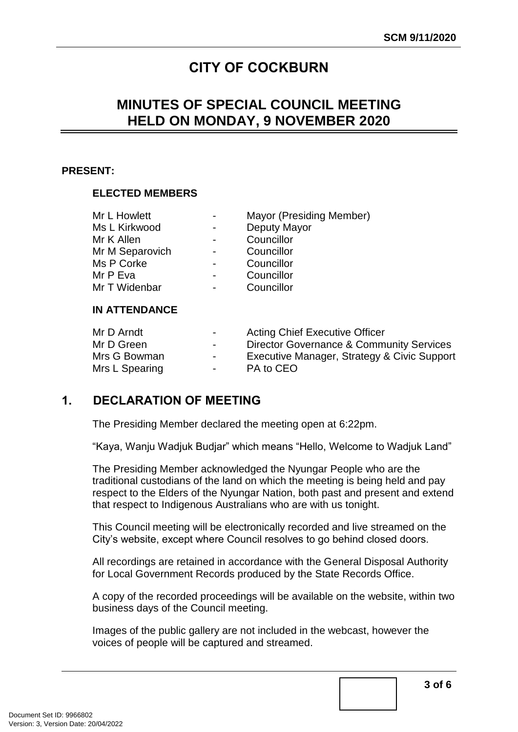# **CITY OF COCKBURN**

# **MINUTES OF SPECIAL COUNCIL MEETING HELD ON MONDAY, 9 NOVEMBER 2020**

#### **PRESENT:**

#### **ELECTED MEMBERS**

| Mr L Howlett    | Mayor (Presiding Member) |
|-----------------|--------------------------|
| Ms L Kirkwood   | Deputy Mayor             |
| Mr K Allen      | Councillor               |
| Mr M Separovich | Councillor               |
| Ms P Corke      | Councillor               |
| Mr P Eva        | Councillor               |
| Mr T Widenbar   | Councillor               |
|                 |                          |

#### **IN ATTENDANCE**

| Mr D Arndt     | $\sim$ 100 $\mu$ | <b>Acting Chief Executive Officer</b>       |
|----------------|------------------|---------------------------------------------|
| Mr D Green     | $\sim$           | Director Governance & Community Services    |
| Mrs G Bowman   | $\sim$ 100 $\mu$ | Executive Manager, Strategy & Civic Support |
| Mrs L Spearing | $\sim$ 100 $\mu$ | PA to CEO                                   |

## <span id="page-2-0"></span>**1. DECLARATION OF MEETING**

The Presiding Member declared the meeting open at 6:22pm.

"Kaya, Wanju Wadjuk Budjar" which means "Hello, Welcome to Wadjuk Land"

The Presiding Member acknowledged the Nyungar People who are the traditional custodians of the land on which the meeting is being held and pay respect to the Elders of the Nyungar Nation, both past and present and extend that respect to Indigenous Australians who are with us tonight.

This Council meeting will be electronically recorded and live streamed on the City's website, except where Council resolves to go behind closed doors.

All recordings are retained in accordance with the General Disposal Authority for Local Government Records produced by the State Records Office.

A copy of the recorded proceedings will be available on the website, within two business days of the Council meeting.

Images of the public gallery are not included in the webcast, however the voices of people will be captured and streamed.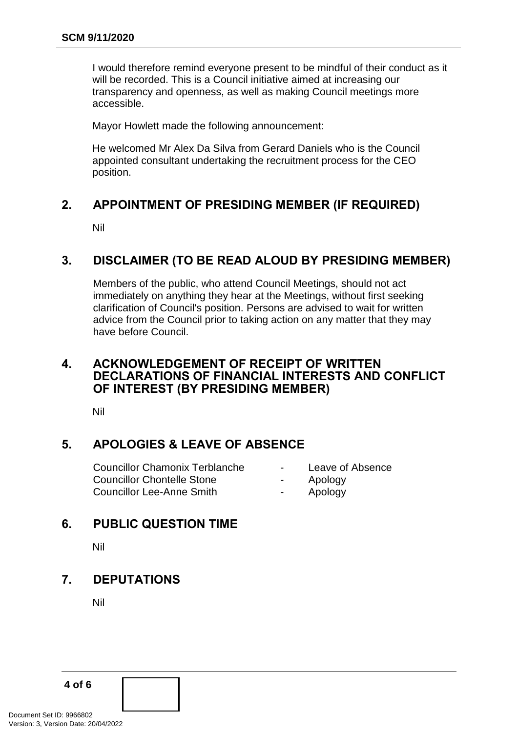I would therefore remind everyone present to be mindful of their conduct as it will be recorded. This is a Council initiative aimed at increasing our transparency and openness, as well as making Council meetings more accessible.

Mayor Howlett made the following announcement:

He welcomed Mr Alex Da Silva from Gerard Daniels who is the Council appointed consultant undertaking the recruitment process for the CEO position.

## <span id="page-3-0"></span>**2. APPOINTMENT OF PRESIDING MEMBER (IF REQUIRED)**

Nil

## <span id="page-3-1"></span>**3. DISCLAIMER (TO BE READ ALOUD BY PRESIDING MEMBER)**

Members of the public, who attend Council Meetings, should not act immediately on anything they hear at the Meetings, without first seeking clarification of Council's position. Persons are advised to wait for written advice from the Council prior to taking action on any matter that they may have before Council.

### <span id="page-3-2"></span>**4. ACKNOWLEDGEMENT OF RECEIPT OF WRITTEN DECLARATIONS OF FINANCIAL INTERESTS AND CONFLICT OF INTEREST (BY PRESIDING MEMBER)**

Nil

## <span id="page-3-3"></span>**5. APOLOGIES & LEAVE OF ABSENCE**

| <b>Councillor Chamonix Terblanche</b> | $\sim$ $\sim$ | Leave of Absence |
|---------------------------------------|---------------|------------------|
| Councillor Chontelle Stone            | $\sim$ $\sim$ | Apology          |
| Councillor Lee-Anne Smith             |               | Apology          |

## <span id="page-3-4"></span>**6. PUBLIC QUESTION TIME**

Nil

## <span id="page-3-5"></span>**7. DEPUTATIONS**

Nil

**4 of 6**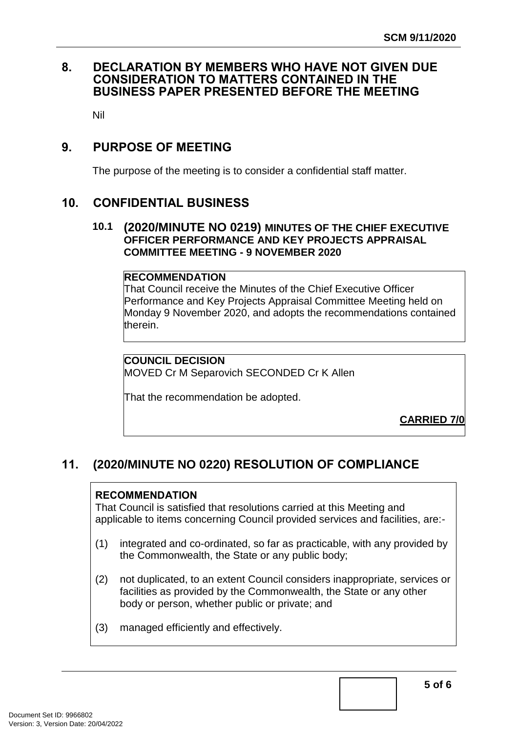## <span id="page-4-0"></span>**8. DECLARATION BY MEMBERS WHO HAVE NOT GIVEN DUE CONSIDERATION TO MATTERS CONTAINED IN THE BUSINESS PAPER PRESENTED BEFORE THE MEETING**

Nil

## <span id="page-4-1"></span>**9. PURPOSE OF MEETING**

The purpose of the meeting is to consider a confidential staff matter.

## <span id="page-4-2"></span>**10. CONFIDENTIAL BUSINESS**

#### **10.1 (2020/MINUTE NO 0219) MINUTES OF THE CHIEF EXECUTIVE OFFICER PERFORMANCE AND KEY PROJECTS APPRAISAL COMMITTEE MEETING - 9 NOVEMBER 2020**

#### <span id="page-4-3"></span>**RECOMMENDATION**

That Council receive the Minutes of the Chief Executive Officer Performance and Key Projects Appraisal Committee Meeting held on Monday 9 November 2020, and adopts the recommendations contained therein.

### **COUNCIL DECISION**

MOVED Cr M Separovich SECONDED Cr K Allen

That the recommendation be adopted.

**CARRIED 7/0**

## <span id="page-4-4"></span>**11. (2020/MINUTE NO 0220) RESOLUTION OF COMPLIANCE**

#### **RECOMMENDATION**

That Council is satisfied that resolutions carried at this Meeting and applicable to items concerning Council provided services and facilities, are:-

- (1) integrated and co-ordinated, so far as practicable, with any provided by the Commonwealth, the State or any public body;
- (2) not duplicated, to an extent Council considers inappropriate, services or facilities as provided by the Commonwealth, the State or any other body or person, whether public or private; and
- (3) managed efficiently and effectively.